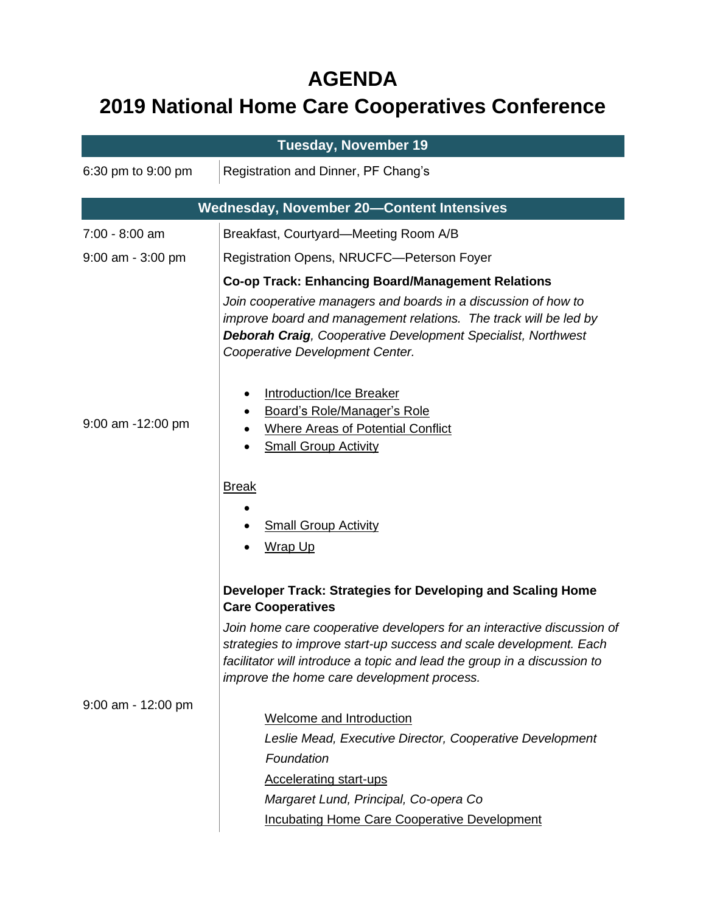## **AGENDA**

## **2019 National Home Care Cooperatives Conference**

| <b>Tuesday, November 19</b>                      |                                                                                                                                                                                                                                                                                                                                                                                                                                                                |  |
|--------------------------------------------------|----------------------------------------------------------------------------------------------------------------------------------------------------------------------------------------------------------------------------------------------------------------------------------------------------------------------------------------------------------------------------------------------------------------------------------------------------------------|--|
| 6:30 pm to 9:00 pm                               | Registration and Dinner, PF Chang's                                                                                                                                                                                                                                                                                                                                                                                                                            |  |
| <b>Wednesday, November 20-Content Intensives</b> |                                                                                                                                                                                                                                                                                                                                                                                                                                                                |  |
| 7:00 - 8:00 am                                   | Breakfast, Courtyard—Meeting Room A/B                                                                                                                                                                                                                                                                                                                                                                                                                          |  |
| $9:00$ am - $3:00$ pm                            | Registration Opens, NRUCFC-Peterson Foyer                                                                                                                                                                                                                                                                                                                                                                                                                      |  |
| 9:00 am -12:00 pm                                | <b>Co-op Track: Enhancing Board/Management Relations</b><br>Join cooperative managers and boards in a discussion of how to<br>improve board and management relations. The track will be led by<br><b>Deborah Craig, Cooperative Development Specialist, Northwest</b><br>Cooperative Development Center.<br>Introduction/Ice Breaker<br>Board's Role/Manager's Role<br><b>Where Areas of Potential Conflict</b><br><b>Small Group Activity</b><br><b>Break</b> |  |
|                                                  | <b>Small Group Activity</b><br>Wrap Up<br>Developer Track: Strategies for Developing and Scaling Home<br><b>Care Cooperatives</b>                                                                                                                                                                                                                                                                                                                              |  |
|                                                  | Join home care cooperative developers for an interactive discussion of<br>strategies to improve start-up success and scale development. Each<br>facilitator will introduce a topic and lead the group in a discussion to<br>improve the home care development process.                                                                                                                                                                                         |  |
| $9:00$ am - 12:00 pm                             | <b>Welcome and Introduction</b><br>Leslie Mead, Executive Director, Cooperative Development<br>Foundation<br><b>Accelerating start-ups</b><br>Margaret Lund, Principal, Co-opera Co<br><b>Incubating Home Care Cooperative Development</b>                                                                                                                                                                                                                     |  |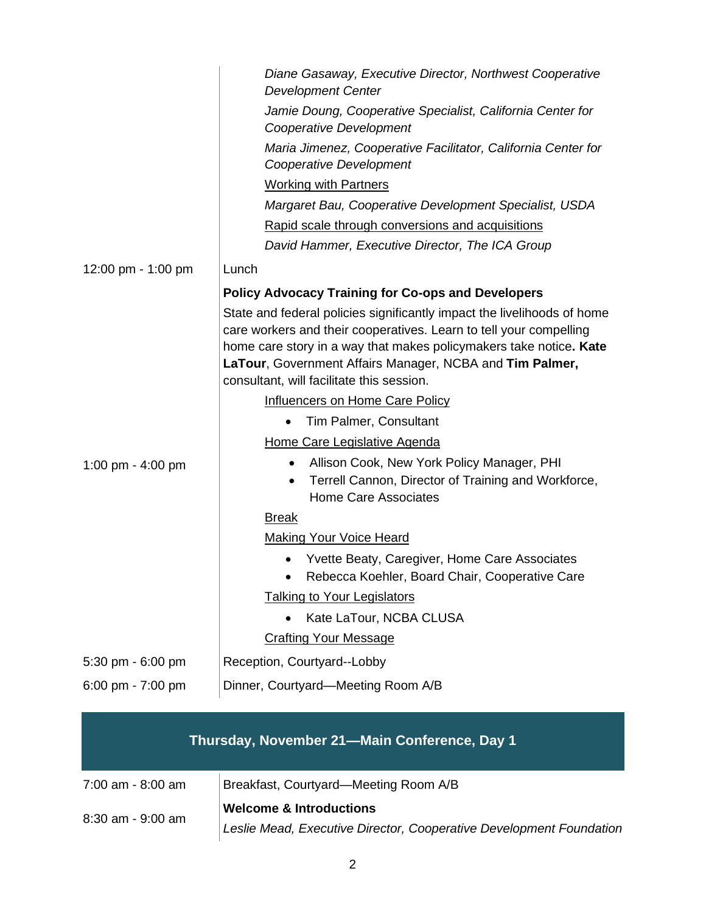|                    | Diane Gasaway, Executive Director, Northwest Cooperative<br><b>Development Center</b>                                                                                                                                                                                                                                        |
|--------------------|------------------------------------------------------------------------------------------------------------------------------------------------------------------------------------------------------------------------------------------------------------------------------------------------------------------------------|
|                    | Jamie Doung, Cooperative Specialist, California Center for<br>Cooperative Development                                                                                                                                                                                                                                        |
|                    | Maria Jimenez, Cooperative Facilitator, California Center for<br>Cooperative Development                                                                                                                                                                                                                                     |
|                    | <b>Working with Partners</b>                                                                                                                                                                                                                                                                                                 |
|                    | Margaret Bau, Cooperative Development Specialist, USDA                                                                                                                                                                                                                                                                       |
|                    | Rapid scale through conversions and acquisitions                                                                                                                                                                                                                                                                             |
|                    | David Hammer, Executive Director, The ICA Group                                                                                                                                                                                                                                                                              |
| 12:00 pm - 1:00 pm | Lunch                                                                                                                                                                                                                                                                                                                        |
|                    | <b>Policy Advocacy Training for Co-ops and Developers</b>                                                                                                                                                                                                                                                                    |
|                    | State and federal policies significantly impact the livelihoods of home<br>care workers and their cooperatives. Learn to tell your compelling<br>home care story in a way that makes policymakers take notice. Kate<br>LaTour, Government Affairs Manager, NCBA and Tim Palmer,<br>consultant, will facilitate this session. |
|                    | Influencers on Home Care Policy                                                                                                                                                                                                                                                                                              |
|                    | Tim Palmer, Consultant                                                                                                                                                                                                                                                                                                       |
|                    | Home Care Legislative Agenda                                                                                                                                                                                                                                                                                                 |
| 1:00 pm - 4:00 pm  | Allison Cook, New York Policy Manager, PHI<br>٠<br>Terrell Cannon, Director of Training and Workforce,<br>$\bullet$<br><b>Home Care Associates</b>                                                                                                                                                                           |
|                    | <b>Break</b>                                                                                                                                                                                                                                                                                                                 |
|                    | <b>Making Your Voice Heard</b>                                                                                                                                                                                                                                                                                               |
|                    | Yvette Beaty, Caregiver, Home Care Associates<br>Rebecca Koehler, Board Chair, Cooperative Care                                                                                                                                                                                                                              |
|                    | <b>Talking to Your Legislators</b>                                                                                                                                                                                                                                                                                           |
|                    | Kate LaTour, NCBA CLUSA                                                                                                                                                                                                                                                                                                      |
|                    | <b>Crafting Your Message</b>                                                                                                                                                                                                                                                                                                 |
| 5:30 pm - 6:00 pm  | Reception, Courtyard--Lobby                                                                                                                                                                                                                                                                                                  |
| 6:00 pm - 7:00 pm  | Dinner, Courtyard-Meeting Room A/B                                                                                                                                                                                                                                                                                           |
|                    |                                                                                                                                                                                                                                                                                                                              |

## **Thursday, November 21—Main Conference, Day 1**

| 7:00 am - 8:00 am | Breakfast, Courtyard-Meeting Room A/B                               |
|-------------------|---------------------------------------------------------------------|
| 8:30 am - 9:00 am | <b>Welcome &amp; Introductions</b>                                  |
|                   | Leslie Mead, Executive Director, Cooperative Development Foundation |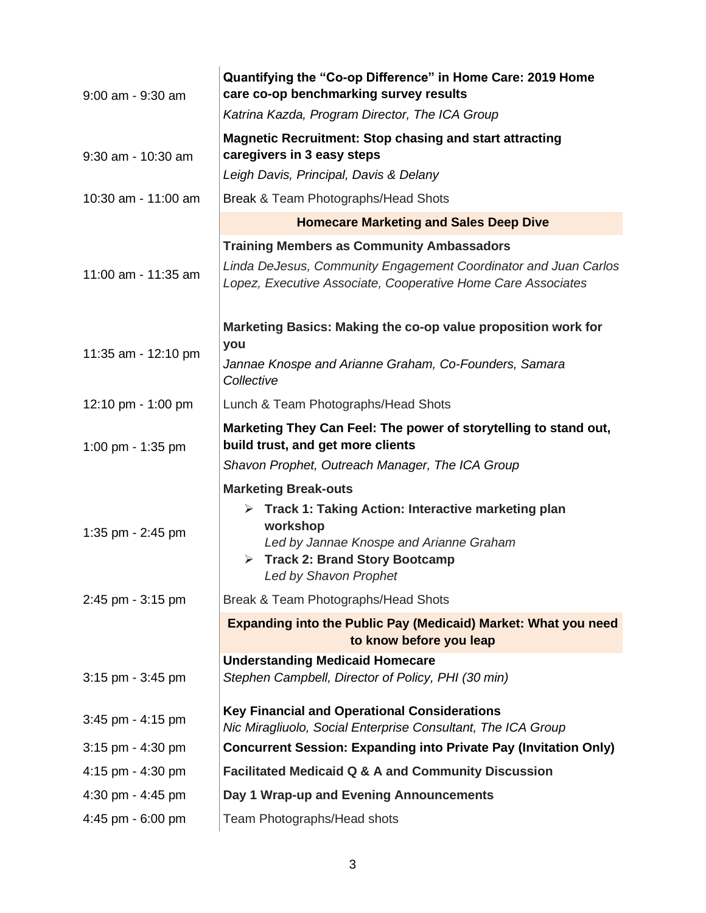| $9:00$ am - $9:30$ am | Quantifying the "Co-op Difference" in Home Care: 2019 Home<br>care co-op benchmarking survey results                            |
|-----------------------|---------------------------------------------------------------------------------------------------------------------------------|
|                       | Katrina Kazda, Program Director, The ICA Group                                                                                  |
| 9:30 am - 10:30 am    | <b>Magnetic Recruitment: Stop chasing and start attracting</b><br>caregivers in 3 easy steps                                    |
|                       | Leigh Davis, Principal, Davis & Delany                                                                                          |
| 10:30 am - 11:00 am   | Break & Team Photographs/Head Shots                                                                                             |
|                       | <b>Homecare Marketing and Sales Deep Dive</b>                                                                                   |
|                       | <b>Training Members as Community Ambassadors</b>                                                                                |
| 11:00 am - 11:35 am   | Linda DeJesus, Community Engagement Coordinator and Juan Carlos<br>Lopez, Executive Associate, Cooperative Home Care Associates |
| 11:35 am - 12:10 pm   | Marketing Basics: Making the co-op value proposition work for<br>you                                                            |
|                       | Jannae Knospe and Arianne Graham, Co-Founders, Samara<br>Collective                                                             |
| 12:10 pm - 1:00 pm    | Lunch & Team Photographs/Head Shots                                                                                             |
| 1:00 pm - 1:35 pm     | Marketing They Can Feel: The power of storytelling to stand out,<br>build trust, and get more clients                           |
|                       | Shavon Prophet, Outreach Manager, The ICA Group                                                                                 |
|                       | <b>Marketing Break-outs</b>                                                                                                     |
|                       | $\triangleright$ Track 1: Taking Action: Interactive marketing plan<br>workshop                                                 |
| 1:35 pm - 2:45 pm     | Led by Jannae Knospe and Arianne Graham                                                                                         |
|                       | $\triangleright$ Track 2: Brand Story Bootcamp                                                                                  |
|                       | Led by Shavon Prophet                                                                                                           |
| 2:45 pm - 3:15 pm     | Break & Team Photographs/Head Shots                                                                                             |
|                       | Expanding into the Public Pay (Medicaid) Market: What you need<br>to know before you leap                                       |
|                       | <b>Understanding Medicaid Homecare</b>                                                                                          |
| $3:15$ pm - $3:45$ pm | Stephen Campbell, Director of Policy, PHI (30 min)                                                                              |
| $3:45$ pm - $4:15$ pm | <b>Key Financial and Operational Considerations</b><br>Nic Miragliuolo, Social Enterprise Consultant, The ICA Group             |
| $3:15$ pm - $4:30$ pm | <b>Concurrent Session: Expanding into Private Pay (Invitation Only)</b>                                                         |
| 4:15 pm - 4:30 pm     | <b>Facilitated Medicaid Q &amp; A and Community Discussion</b>                                                                  |
| 4:30 pm - 4:45 pm     | Day 1 Wrap-up and Evening Announcements                                                                                         |
| 4:45 pm - 6:00 pm     | Team Photographs/Head shots                                                                                                     |